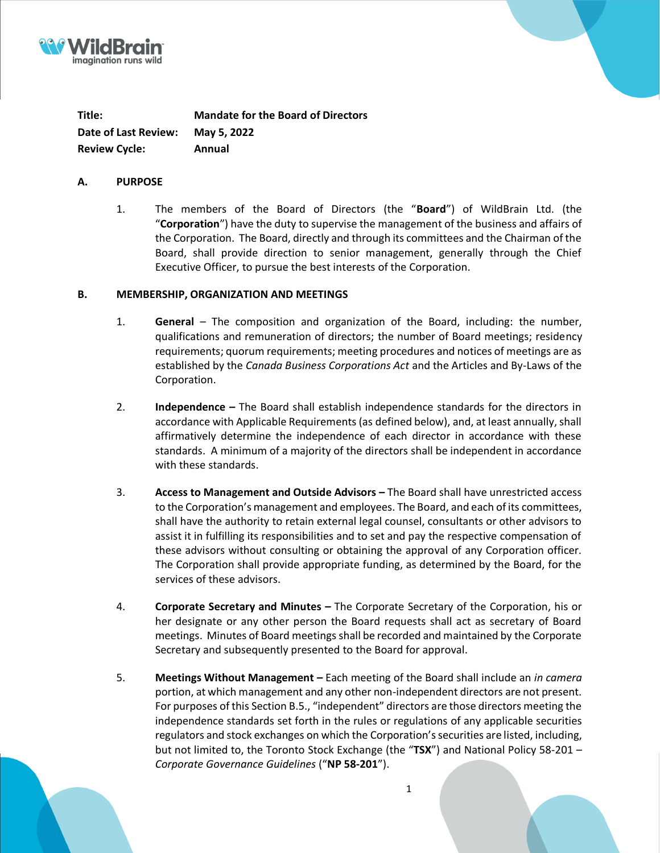



#### **A. PURPOSE**

1. The members of the Board of Directors (the "**Board**") of WildBrain Ltd. (the "**Corporation**") have the duty to supervise the management of the business and affairs of the Corporation. The Board, directly and through its committees and the Chairman of the Board, shall provide direction to senior management, generally through the Chief Executive Officer, to pursue the best interests of the Corporation.

### **B. MEMBERSHIP, ORGANIZATION AND MEETINGS**

- 1. **General**  The composition and organization of the Board, including: the number, qualifications and remuneration of directors; the number of Board meetings; residency requirements; quorum requirements; meeting procedures and notices of meetings are as established by the *Canada Business Corporations Act* and the Articles and By-Laws of the Corporation.
- 2. **Independence –** The Board shall establish independence standards for the directors in accordance with Applicable Requirements (as defined below), and, at least annually, shall affirmatively determine the independence of each director in accordance with these standards. A minimum of a majority of the directors shall be independent in accordance with these standards.
- 3. **Access to Management and Outside Advisors –** The Board shall have unrestricted access to the Corporation's management and employees. The Board, and each of its committees, shall have the authority to retain external legal counsel, consultants or other advisors to assist it in fulfilling its responsibilities and to set and pay the respective compensation of these advisors without consulting or obtaining the approval of any Corporation officer. The Corporation shall provide appropriate funding, as determined by the Board, for the services of these advisors.
- 4. **Corporate Secretary and Minutes –** The Corporate Secretary of the Corporation, his or her designate or any other person the Board requests shall act as secretary of Board meetings. Minutes of Board meetings shall be recorded and maintained by the Corporate Secretary and subsequently presented to the Board for approval.
- 5. **Meetings Without Management –** Each meeting of the Board shall include an *in camera*  portion, at which management and any other non-independent directors are not present. For purposes of this Section B.5., "independent" directors are those directors meeting the independence standards set forth in the rules or regulations of any applicable securities regulators and stock exchanges on which the Corporation's securities are listed, including, but not limited to, the Toronto Stock Exchange (the "**TSX**") and National Policy 58-201 – *Corporate Governance Guidelines* ("**NP 58-201**").

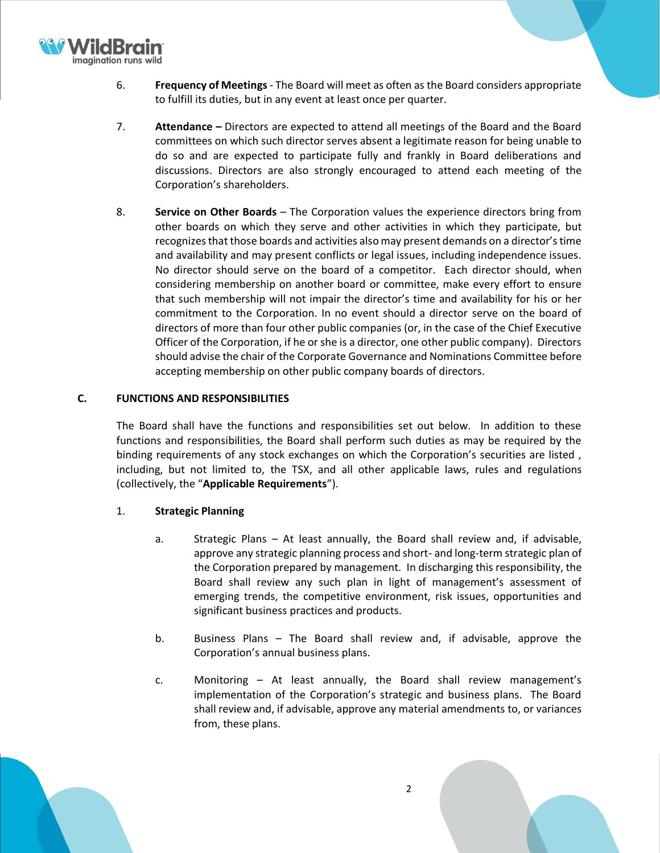

- 6. **Frequency of Meetings** The Board will meet as often as the Board considers appropriate to fulfill its duties, but in any event at least once per quarter.
- 7. **Attendance –** Directors are expected to attend all meetings of the Board and the Board committees on which such director serves absent a legitimate reason for being unable to do so and are expected to participate fully and frankly in Board deliberations and discussions. Directors are also strongly encouraged to attend each meeting of the Corporation's shareholders.
- 8. **Service on Other Boards** The Corporation values the experience directors bring from other boards on which they serve and other activities in which they participate, but recognizes that those boards and activities also may present demands on a director's time and availability and may present conflicts or legal issues, including independence issues. No director should serve on the board of a competitor. Each director should, when considering membership on another board or committee, make every effort to ensure that such membership will not impair the director's time and availability for his or her commitment to the Corporation. In no event should a director serve on the board of directors of more than four other public companies (or, in the case of the Chief Executive Officer of the Corporation, if he or she is a director, one other public company). Directors should advise the chair of the Corporate Governance and Nominations Committee before accepting membership on other public company boards of directors.

## **C. FUNCTIONS AND RESPONSIBILITIES**

The Board shall have the functions and responsibilities set out below. In addition to these functions and responsibilities, the Board shall perform such duties as may be required by the binding requirements of any stock exchanges on which the Corporation's securities are listed , including, but not limited to, the TSX, and all other applicable laws, rules and regulations (collectively, the "**Applicable Requirements**").

## 1. **Strategic Planning**

- a. Strategic Plans At least annually, the Board shall review and, if advisable, approve any strategic planning process and short- and long-term strategic plan of the Corporation prepared by management. In discharging this responsibility, the Board shall review any such plan in light of management's assessment of emerging trends, the competitive environment, risk issues, opportunities and significant business practices and products.
- b. Business Plans The Board shall review and, if advisable, approve the Corporation's annual business plans.
- c. Monitoring At least annually, the Board shall review management's implementation of the Corporation's strategic and business plans. The Board shall review and, if advisable, approve any material amendments to, or variances from, these plans.

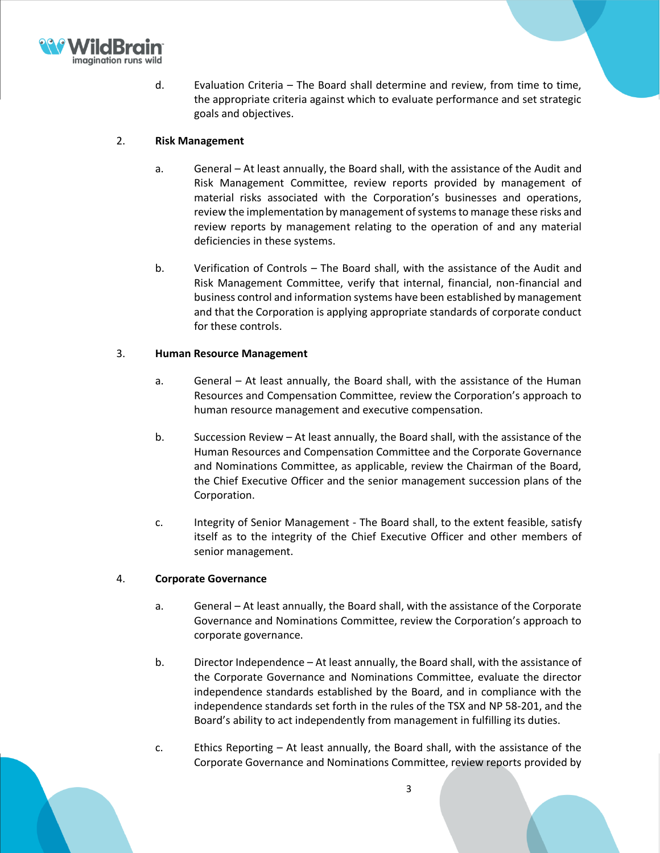

d. Evaluation Criteria – The Board shall determine and review, from time to time, the appropriate criteria against which to evaluate performance and set strategic goals and objectives.

## 2. **Risk Management**

- a. General At least annually, the Board shall, with the assistance of the Audit and Risk Management Committee, review reports provided by management of material risks associated with the Corporation's businesses and operations, review the implementation by management of systems to manage these risks and review reports by management relating to the operation of and any material deficiencies in these systems.
- b. Verification of Controls The Board shall, with the assistance of the Audit and Risk Management Committee, verify that internal, financial, non-financial and business control and information systems have been established by management and that the Corporation is applying appropriate standards of corporate conduct for these controls.

## 3. **Human Resource Management**

- a. General At least annually, the Board shall, with the assistance of the Human Resources and Compensation Committee, review the Corporation's approach to human resource management and executive compensation.
- b. Succession Review At least annually, the Board shall, with the assistance of the Human Resources and Compensation Committee and the Corporate Governance and Nominations Committee, as applicable, review the Chairman of the Board, the Chief Executive Officer and the senior management succession plans of the Corporation.
- c. Integrity of Senior Management The Board shall, to the extent feasible, satisfy itself as to the integrity of the Chief Executive Officer and other members of senior management.

## 4. **Corporate Governance**

- a. General At least annually, the Board shall, with the assistance of the Corporate Governance and Nominations Committee, review the Corporation's approach to corporate governance.
- b. Director Independence At least annually, the Board shall, with the assistance of the Corporate Governance and Nominations Committee, evaluate the director independence standards established by the Board, and in compliance with the independence standards set forth in the rules of the TSX and NP 58-201, and the Board's ability to act independently from management in fulfilling its duties.
- c. Ethics Reporting At least annually, the Board shall, with the assistance of the Corporate Governance and Nominations Committee, review reports provided by

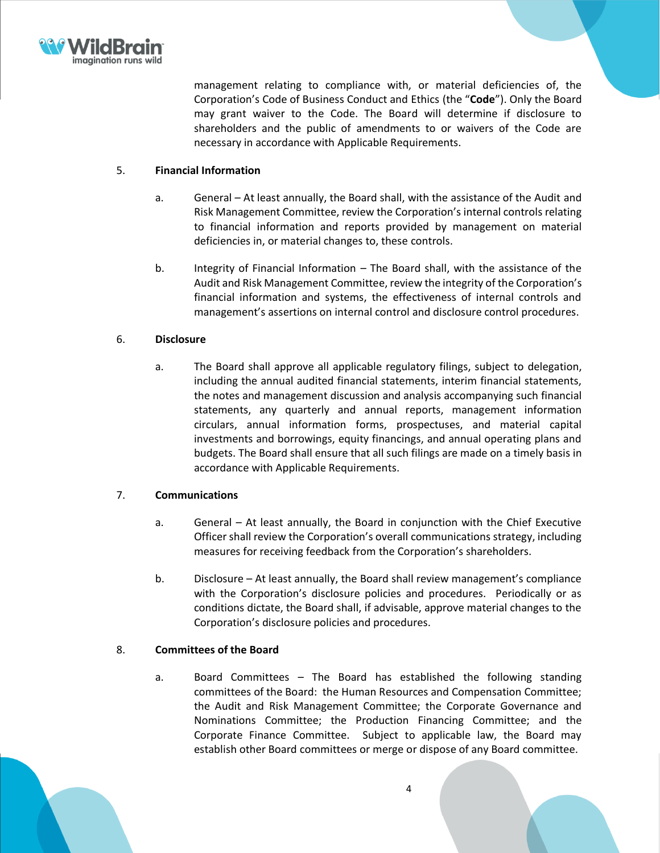

management relating to compliance with, or material deficiencies of, the Corporation's Code of Business Conduct and Ethics (the "**Code**"). Only the Board may grant waiver to the Code. The Board will determine if disclosure to shareholders and the public of amendments to or waivers of the Code are necessary in accordance with Applicable Requirements.

### 5. **Financial Information**

- a. General At least annually, the Board shall, with the assistance of the Audit and Risk Management Committee, review the Corporation's internal controls relating to financial information and reports provided by management on material deficiencies in, or material changes to, these controls.
- b. Integrity of Financial Information The Board shall, with the assistance of the Audit and Risk Management Committee, review the integrity of the Corporation's financial information and systems, the effectiveness of internal controls and management's assertions on internal control and disclosure control procedures.

### 6. **Disclosure**

a. The Board shall approve all applicable regulatory filings, subject to delegation, including the annual audited financial statements, interim financial statements, the notes and management discussion and analysis accompanying such financial statements, any quarterly and annual reports, management information circulars, annual information forms, prospectuses, and material capital investments and borrowings, equity financings, and annual operating plans and budgets. The Board shall ensure that all such filings are made on a timely basis in accordance with Applicable Requirements.

## 7. **Communications**

- a. General At least annually, the Board in conjunction with the Chief Executive Officer shall review the Corporation's overall communications strategy, including measures for receiving feedback from the Corporation's shareholders.
- b. Disclosure At least annually, the Board shall review management's compliance with the Corporation's disclosure policies and procedures. Periodically or as conditions dictate, the Board shall, if advisable, approve material changes to the Corporation's disclosure policies and procedures.

### 8. **Committees of the Board**

a. Board Committees – The Board has established the following standing committees of the Board: the Human Resources and Compensation Committee; the Audit and Risk Management Committee; the Corporate Governance and Nominations Committee; the Production Financing Committee; and the Corporate Finance Committee. Subject to applicable law, the Board may establish other Board committees or merge or dispose of any Board committee.

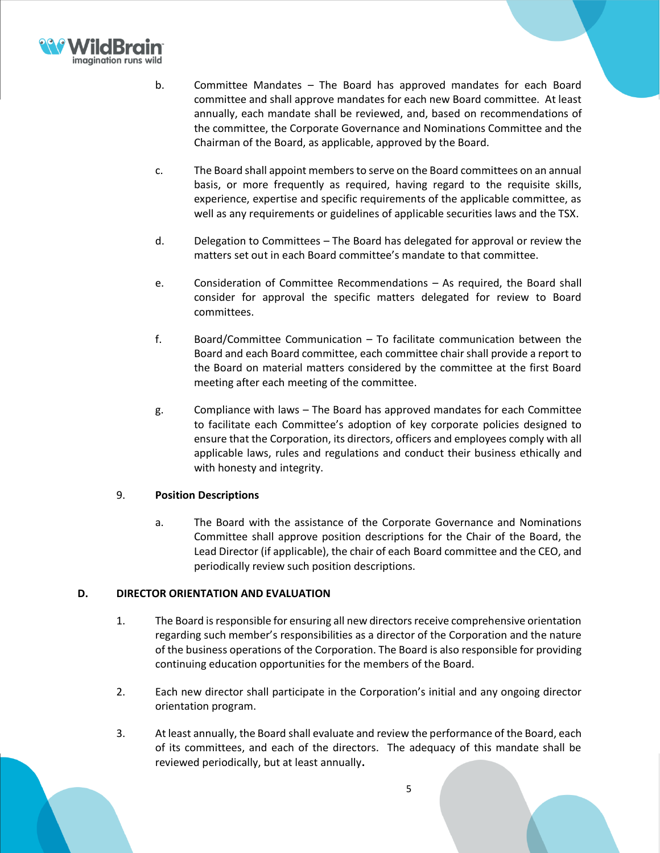

- b. Committee Mandates The Board has approved mandates for each Board committee and shall approve mandates for each new Board committee. At least annually, each mandate shall be reviewed, and, based on recommendations of the committee, the Corporate Governance and Nominations Committee and the Chairman of the Board, as applicable, approved by the Board.
- c. The Board shall appoint members to serve on the Board committees on an annual basis, or more frequently as required, having regard to the requisite skills, experience, expertise and specific requirements of the applicable committee, as well as any requirements or guidelines of applicable securities laws and the TSX.
- d. Delegation to Committees The Board has delegated for approval or review the matters set out in each Board committee's mandate to that committee.
- e. Consideration of Committee Recommendations As required, the Board shall consider for approval the specific matters delegated for review to Board committees.
- f. Board/Committee Communication To facilitate communication between the Board and each Board committee, each committee chair shall provide a report to the Board on material matters considered by the committee at the first Board meeting after each meeting of the committee.
- g. Compliance with laws The Board has approved mandates for each Committee to facilitate each Committee's adoption of key corporate policies designed to ensure that the Corporation, its directors, officers and employees comply with all applicable laws, rules and regulations and conduct their business ethically and with honesty and integrity.

## 9. **Position Descriptions**

a. The Board with the assistance of the Corporate Governance and Nominations Committee shall approve position descriptions for the Chair of the Board, the Lead Director (if applicable), the chair of each Board committee and the CEO, and periodically review such position descriptions.

## **D. DIRECTOR ORIENTATION AND EVALUATION**

- 1. The Board is responsible for ensuring all new directors receive comprehensive orientation regarding such member's responsibilities as a director of the Corporation and the nature of the business operations of the Corporation. The Board is also responsible for providing continuing education opportunities for the members of the Board.
- 2. Each new director shall participate in the Corporation's initial and any ongoing director orientation program.
- 3. At least annually, the Board shall evaluate and review the performance of the Board, each of its committees, and each of the directors. The adequacy of this mandate shall be reviewed periodically, but at least annually**.**